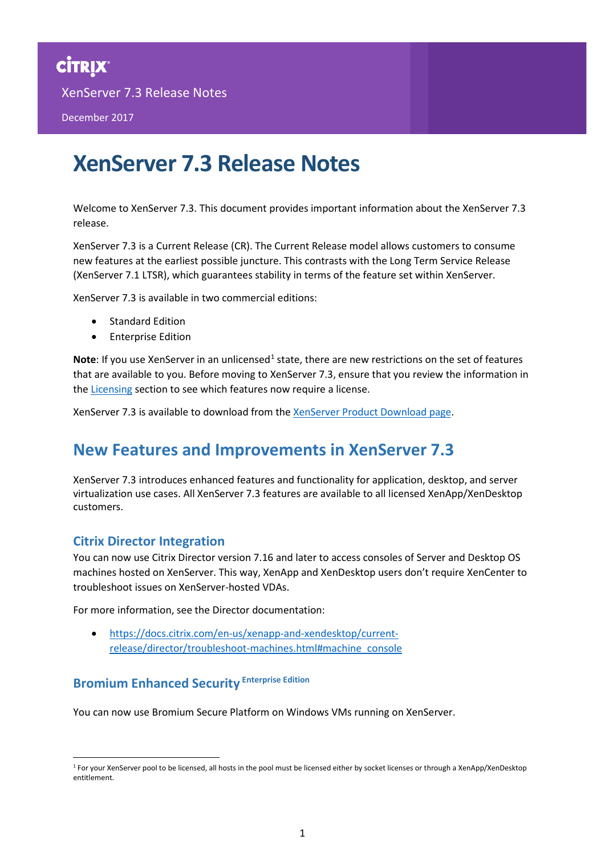XenServer 7.3 Release Notes

December 2017

# **XenServer 7.3 Release Notes**

Welcome to XenServer 7.3. This document provides important information about the XenServer 7.3 release.

XenServer 7.3 is a Current Release (CR). The Current Release model allows customers to consume new features at the earliest possible juncture. This contrasts with the Long Term Service Release (XenServer 7.1 LTSR), which guarantees stability in terms of the feature set within XenServer.

XenServer 7.3 is available in two commercial editions:

- Standard Edition
- Enterprise Edition

**Note**: If you use XenServer in an unlicensed<sup>[1](#page-0-0)</sup> state, there are new restrictions on the set of features that are available to you. Before moving to XenServer 7.3, ensure that you review the information in the [Licensing](#page-4-0) section to see which features now require a license.

XenServer 7.3 is available to download from th[e XenServer Product Download page.](https://www.citrix.com/downloads/xenserver/product-software.html)

## **New Features and Improvements in XenServer 7.3**

XenServer 7.3 introduces enhanced features and functionality for application, desktop, and server virtualization use cases. All XenServer 7.3 features are available to all licensed XenApp/XenDesktop customers.

## **Citrix Director Integration**

You can now use Citrix Director version 7.16 and later to access consoles of Server and Desktop OS machines hosted on XenServer. This way, XenApp and XenDesktop users don't require XenCenter to troubleshoot issues on XenServer-hosted VDAs.

For more information, see the Director documentation:

• [https://docs.citrix.com/en-us/xenapp-and-xendesktop/current](https://docs.citrix.com/en-us/xenapp-and-xendesktop/current-release/director/troubleshoot-machines.html#machine_console)[release/director/troubleshoot-machines.html#machine\\_console](https://docs.citrix.com/en-us/xenapp-and-xendesktop/current-release/director/troubleshoot-machines.html#machine_console)

## **Bromium Enhanced Security Enterprise Edition**

You can now use Bromium Secure Platform on Windows VMs running on XenServer.

<span id="page-0-0"></span><sup>&</sup>lt;sup>1</sup> For your XenServer pool to be licensed, all hosts in the pool must be licensed either by socket licenses or through a XenApp/XenDesktop entitlement.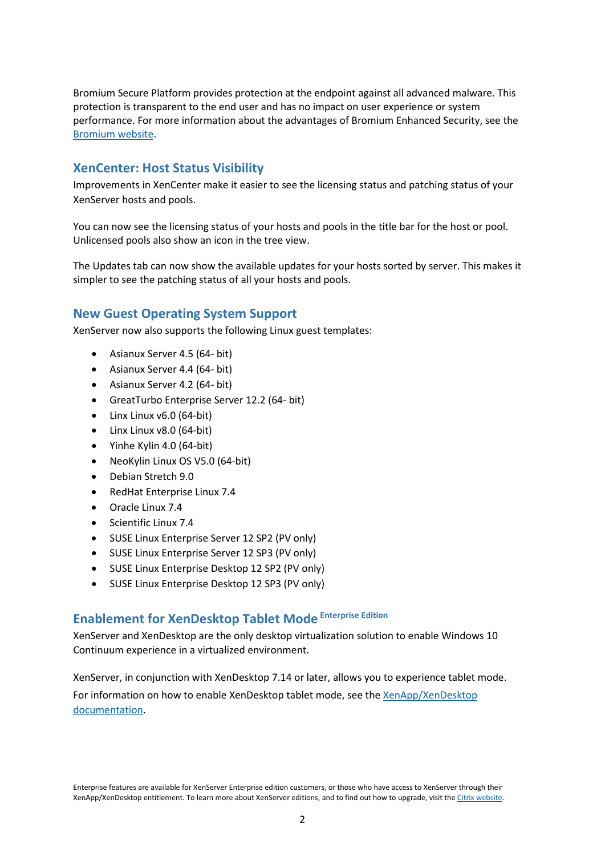performance. For more information about the advantages of Bromium Enhanced Security, see the [Bromium website.](https://www.bromium.com/) Bromium Secure Platform provides protection at the endpoint against all advanced malware. This protection is transparent to the end user and has no impact on user experience or system

## **XenCenter: Host Status Visibility**

Improvements in XenCenter make it easier to see the licensing status and patching status of your XenServer hosts and pools.

You can now see the licensing status of your hosts and pools in the title bar for the host or pool. Unlicensed pools also show an icon in the tree view.

The Updates tab can now show the available updates for your hosts sorted by server. This makes it simpler to see the patching status of all your hosts and pools.

## **New Guest Operating System Support**

XenServer now also supports the following Linux guest templates:

- Asianux Server 4.5 (64- bit)
- Asianux Server 4.4 (64- bit)
- Asianux Server 4.2 (64- bit)
- GreatTurbo Enterprise Server 12.2 (64- bit)
- Linx Linux v6.0 (64-bit)
- Linx Linux v8.0 (64-bit)
- Yinhe Kylin 4.0 (64-bit)
- NeoKylin Linux OS V5.0 (64-bit)
- Debian Stretch 9.0
- RedHat Enterprise Linux 7.4
- Oracle Linux 7.4
- Scientific Linux 7.4
- SUSE Linux Enterprise Server 12 SP2 (PV only)
- SUSE Linux Enterprise Server 12 SP3 (PV only)
- SUSE Linux Enterprise Desktop 12 SP2 (PV only)
- SUSE Linux Enterprise Desktop 12 SP3 (PV only)

## **Enablement for XenDesktop Tablet Mode Enterprise Edition**

XenServer and XenDesktop are the only desktop virtualization solution to enable Windows 10 Continuum experience in a virtualized environment.

XenServer, in conjunction with XenDesktop 7.14 or later, allows you to experience tablet mode.

For information on how to enable XenDesktop tablet mode, see the [XenApp/XenDesktop](http://docs.citrix.com/en-us/xenapp-and-xendesktop/7-14/hdx.html)  [documentation.](http://docs.citrix.com/en-us/xenapp-and-xendesktop/7-14/hdx.html)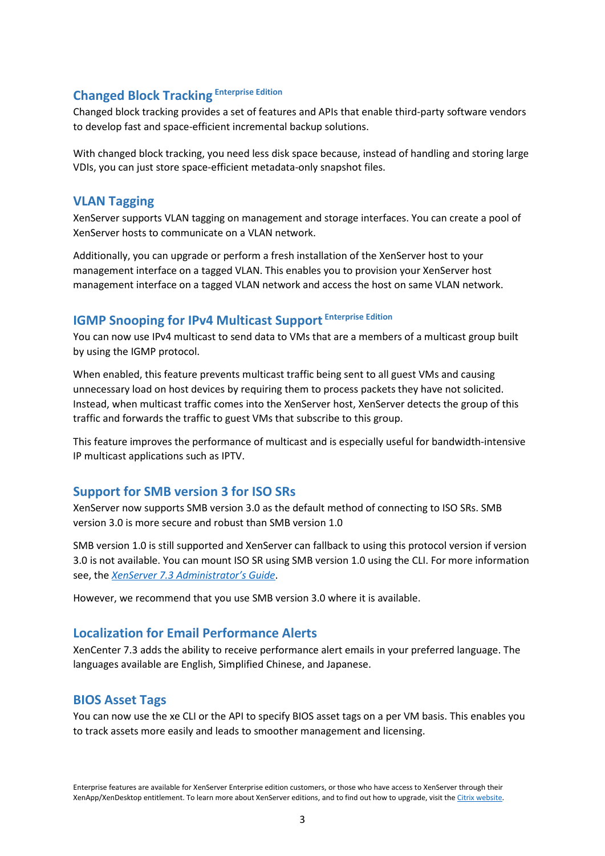## **Changed Block Tracking Enterprise Edition**

Changed block tracking provides a set of features and APIs that enable third-party software vendors<br>to dovelan fast and space officient incremental backup solutions January 2015 to develop fast and space-efficient incremental backup solutions.

With changed block tracking, you need less disk space because, instead of handling and storing large VDIs, you can just store space-efficient metadata-only snapshot files.

### **VLAN Tagging**

XenServer supports VLAN tagging on management and storage interfaces. You can create a pool of XenServer hosts to communicate on a VLAN network.

Additionally, you can upgrade or perform a fresh installation of the XenServer host to your management interface on a tagged VLAN. This enables you to provision your XenServer host management interface on a tagged VLAN network and access the host on same VLAN network.

## **IGMP Snooping for IPv4 Multicast Support Enterprise Edition**

You can now use IPv4 multicast to send data to VMs that are a members of a multicast group built by using the IGMP protocol.

When enabled, this feature prevents multicast traffic being sent to all guest VMs and causing unnecessary load on host devices by requiring them to process packets they have not solicited. Instead, when multicast traffic comes into the XenServer host, XenServer detects the group of this traffic and forwards the traffic to guest VMs that subscribe to this group.

This feature improves the performance of multicast and is especially useful for bandwidth-intensive IP multicast applications such as IPTV.

### **Support for SMB version 3 for ISO SRs**

XenServer now supports SMB version 3.0 as the default method of connecting to ISO SRs. SMB version 3.0 is more secure and robust than SMB version 1.0

SMB version 1.0 is still supported and XenServer can fallback to using this protocol version if version 3.0 is not available. You can mount ISO SR using SMB version 1.0 using the CLI. For more information see, the *XenServer 7.3 [Administrator's](https://docs.citrix.com/content/dam/docs/en-us/xenserver/current-release/downloads/xenserver-administrators-guide.pdf) Guide*.

However, we recommend that you use SMB version 3.0 where it is available.

## **Localization for Email Performance Alerts**

XenCenter 7.3 adds the ability to receive performance alert emails in your preferred language. The languages available are English, Simplified Chinese, and Japanese.

### **BIOS Asset Tags**

You can now use the xe CLI or the API to specify BIOS asset tags on a per VM basis. This enables you to track assets more easily and leads to smoother management and licensing.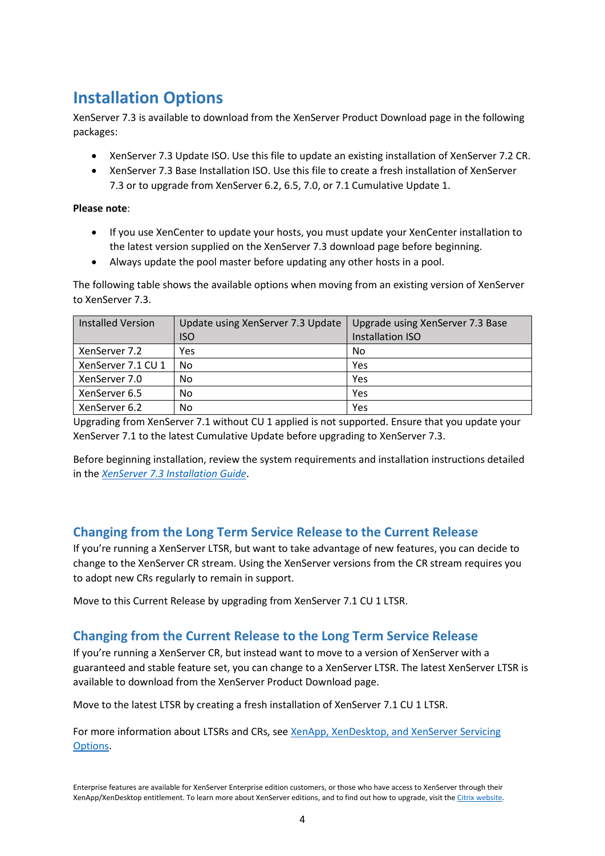## **Installation Options**

XenServer 7.3 is available to download from the XenServer Product Download page in the following packages:

- XenServer 7.3 Update ISO. Use this file to update an existing installation of XenServer 7.2 CR.
- XenServer 7.3 Base Installation ISO. Use this file to create a fresh installation of XenServer 7.3 or to upgrade from XenServer 6.2, 6.5, 7.0, or 7.1 Cumulative Update 1.

### **Please note**:

- If you use XenCenter to update your hosts, you must update your XenCenter installation to the latest version supplied on the XenServer 7.3 download page before beginning.
- Always update the pool master before updating any other hosts in a pool.

The following table shows the available options when moving from an existing version of XenServer to XenServer 7.3.

| <b>Installed Version</b> | Update using XenServer 7.3 Update | Upgrade using XenServer 7.3 Base |
|--------------------------|-----------------------------------|----------------------------------|
|                          | <b>ISO</b>                        | <b>Installation ISO</b>          |
| XenServer 7.2            | Yes                               | No                               |
| XenServer 7.1 CU 1       | No                                | Yes                              |
| XenServer 7.0            | No                                | Yes                              |
| XenServer 6.5            | No                                | Yes                              |
| XenServer 6.2            | No                                | Yes                              |

Upgrading from XenServer 7.1 without CU 1 applied is not supported. Ensure that you update your XenServer 7.1 to the latest Cumulative Update before upgrading to XenServer 7.3.

Before beginning installation, review the system requirements and installation instructions detailed in the *[XenServer 7.3 Installation Guide](https://docs.citrix.com/content/dam/docs/en-us/xenserver/current-release/downloads/xenserver-installation-guide.pdf)*.

## **Changing from the Long Term Service Release to the Current Release**

If you're running a XenServer LTSR, but want to take advantage of new features, you can decide to change to the XenServer CR stream. Using the XenServer versions from the CR stream requires you to adopt new CRs regularly to remain in support.

Move to this Current Release by upgrading from XenServer 7.1 CU 1 LTSR.

## **Changing from the Current Release to the Long Term Service Release**

If you're running a XenServer CR, but instead want to move to a version of XenServer with a guaranteed and stable feature set, you can change to a XenServer LTSR. The latest XenServer LTSR is available to download from the XenServer Product Download page.

Move to the latest LTSR by creating a fresh installation of XenServer 7.1 CU 1 LTSR.

For more information about LTSRs and CRs, see [XenApp, XenDesktop, and XenServer Servicing](https://www.citrix.com/support/programs/software-maintenance/xenapp-and-xendesktop-servicing-options.html)  [Options.](https://www.citrix.com/support/programs/software-maintenance/xenapp-and-xendesktop-servicing-options.html)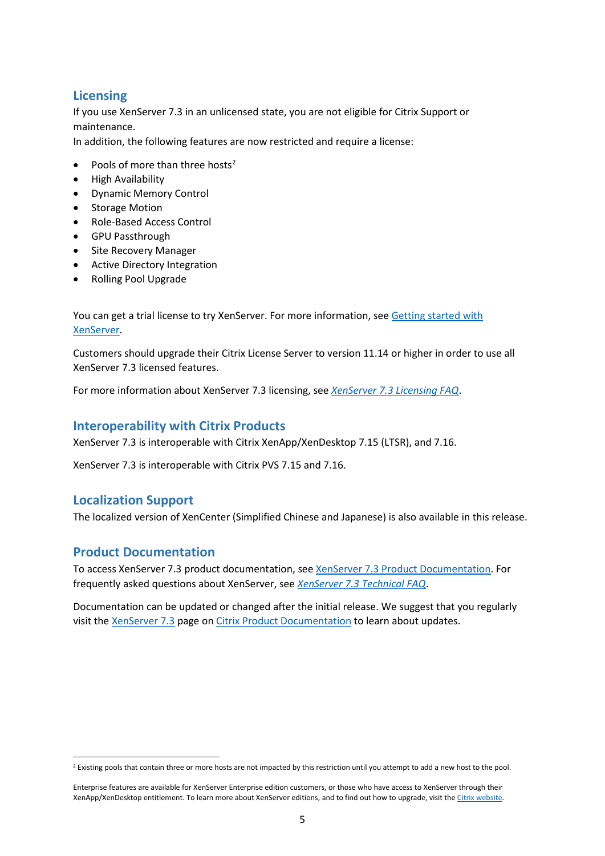## <span id="page-4-0"></span>**Licensing**

If you use XenServer 7.3 in an unlicensed state, you are not eligible for Citrix Support or<br>maintenance maintenance.

In addition, the following features are now restricted and require a license:

- Pools of more than three hosts<sup>[2](#page-4-1)</sup>
- High Availability
- Dynamic Memory Control
- Storage Motion
- Role-Based Access Control
- GPU Passthrough
- Site Recovery Manager
- Active Directory Integration
- Rolling Pool Upgrade

You can get a trial license to try XenServer. For more information, see [Getting started with](https://www.citrix.co.uk/products/xenserver/get-started.html#/email)  [XenServer.](https://www.citrix.co.uk/products/xenserver/get-started.html#/email)

Customers should upgrade their Citrix License Server to version 11.14 or higher in order to use all XenServer 7.3 licensed features.

For more information about XenServer 7.3 licensing, see *XenServer 7.3 [Licensing FAQ](http://docs.citrix.com/content/dam/docs/en-us/xenserver/current-release/downloads/xenserver-licensing-faq.pdf)*.

### **Interoperability with Citrix Products**

XenServer 7.3 is interoperable with Citrix XenApp/XenDesktop 7.15 (LTSR), and 7.16.

XenServer 7.3 is interoperable with Citrix PVS 7.15 and 7.16.

### **Localization Support**

The localized version of XenCenter (Simplified Chinese and Japanese) is also available in this release.

### **Product Documentation**

To access XenServer 7.3 product documentation, see XenServer 7.3 [Product Documentation.](http://docs.citrix.com/en-us/xenserver/current-release.html) For frequently asked questions about XenServer, see *XenServer 7.3 [Technical FAQ](http://docs.citrix.com/content/dam/docs/en-us/xenserver/current-release/downloads/xenserver-technical-faq.pdf)*.

Documentation can be updated or changed after the initial release. We suggest that you regularly visit the [XenServer 7.3](http://docs.citrix.com/en-us/xenserver/current-release.html) page o[n Citrix Product Documentation](http://docs.citrix.com/) to learn about updates.

<span id="page-4-1"></span><sup>&</sup>lt;sup>2</sup> Existing pools that contain three or more hosts are not impacted by this restriction until you attempt to add a new host to the pool.

Enterprise features are available for XenServer Enterprise edition customers, or those who have access to XenServer through their XenApp/XenDesktop entitlement. To learn more about XenServer editions, and to find out how to upgrade, visit th[e Citrix website.](http://www.citrix.com/products/xenserver/buy.html)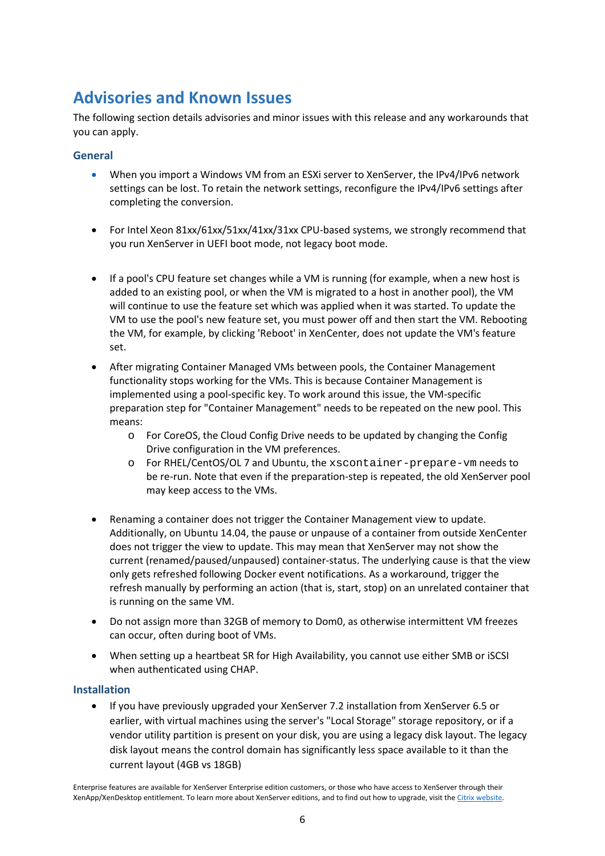## **Advisories and Known Issues**

The following section details advisories and minor issues with this release and any workarounds that you can apply.

### **General**

- When you import a Windows VM from an ESXi server to XenServer, the IPv4/IPv6 network settings can be lost. To retain the network settings, reconfigure the IPv4/IPv6 settings after completing the conversion.
- For Intel Xeon 81xx/61xx/51xx/41xx/31xx CPU-based systems, we strongly recommend that you run XenServer in UEFI boot mode, not legacy boot mode.
- If a pool's CPU feature set changes while a VM is running (for example, when a new host is added to an existing pool, or when the VM is migrated to a host in another pool), the VM will continue to use the feature set which was applied when it was started. To update the VM to use the pool's new feature set, you must power off and then start the VM. Rebooting the VM, for example, by clicking 'Reboot' in XenCenter, does not update the VM's feature set.
- After migrating Container Managed VMs between pools, the Container Management functionality stops working for the VMs. This is because Container Management is implemented using a pool-specific key. To work around this issue, the VM-specific preparation step for "Container Management" needs to be repeated on the new pool. This means:
	- o For CoreOS, the Cloud Config Drive needs to be updated by changing the Config Drive configuration in the VM preferences.
	- o For RHEL/CentOS/OL 7 and Ubuntu, the xscontainer-prepare-vm needs to be re-run. Note that even if the preparation-step is repeated, the old XenServer pool may keep access to the VMs.
- Renaming a container does not trigger the Container Management view to update. Additionally, on Ubuntu 14.04, the pause or unpause of a container from outside XenCenter does not trigger the view to update. This may mean that XenServer may not show the current (renamed/paused/unpaused) container-status. The underlying cause is that the view only gets refreshed following Docker event notifications. As a workaround, trigger the refresh manually by performing an action (that is, start, stop) on an unrelated container that is running on the same VM.
- Do not assign more than 32GB of memory to Dom0, as otherwise intermittent VM freezes can occur, often during boot of VMs.
- When setting up a heartbeat SR for High Availability, you cannot use either SMB or iSCSI when authenticated using CHAP.

### **Installation**

• If you have previously upgraded your XenServer 7.2 installation from XenServer 6.5 or earlier, with virtual machines using the server's "Local Storage" storage repository, or if a vendor utility partition is present on your disk, you are using a legacy disk layout. The legacy disk layout means the control domain has significantly less space available to it than the current layout (4GB vs 18GB)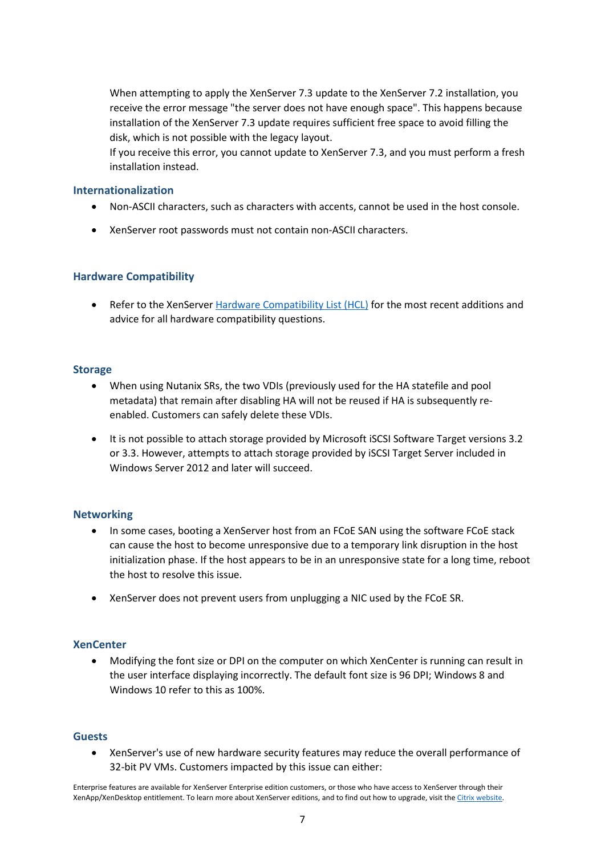installation of the XenServer 7.3 update requires sufficient free space to avoid filling the disk, which is not possible with the legacy layout. When attempting to apply the XenServer 7.3 update to the XenServer 7.2 installation, you receive the error message "the server does not have enough space". This happens because

If you receive this error, you cannot update to XenServer 7.3, and you must perform a fresh installation instead.

#### **Internationalization**

- Non-ASCII characters, such as characters with accents, cannot be used in the host console.
- XenServer root passwords must not contain non-ASCII characters.

### **Hardware Compatibility**

• Refer to the XenServer [Hardware Compatibility List \(HCL\)](http://www.citrix.com/xenserver/hcl) for the most recent additions and advice for all hardware compatibility questions.

#### **Storage**

- When using Nutanix SRs, the two VDIs (previously used for the HA statefile and pool metadata) that remain after disabling HA will not be reused if HA is subsequently reenabled. Customers can safely delete these VDIs.
- It is not possible to attach storage provided by Microsoft iSCSI Software Target versions 3.2 or 3.3. However, attempts to attach storage provided by iSCSI Target Server included in Windows Server 2012 and later will succeed.

### **Networking**

- In some cases, booting a XenServer host from an FCoE SAN using the software FCoE stack can cause the host to become unresponsive due to a temporary link disruption in the host initialization phase. If the host appears to be in an unresponsive state for a long time, reboot the host to resolve this issue.
- XenServer does not prevent users from unplugging a NIC used by the FCoE SR.

#### **XenCenter**

• Modifying the font size or DPI on the computer on which XenCenter is running can result in the user interface displaying incorrectly. The default font size is 96 DPI; Windows 8 and Windows 10 refer to this as 100%.

#### **Guests**

• XenServer's use of new hardware security features may reduce the overall performance of 32-bit PV VMs. Customers impacted by this issue can either: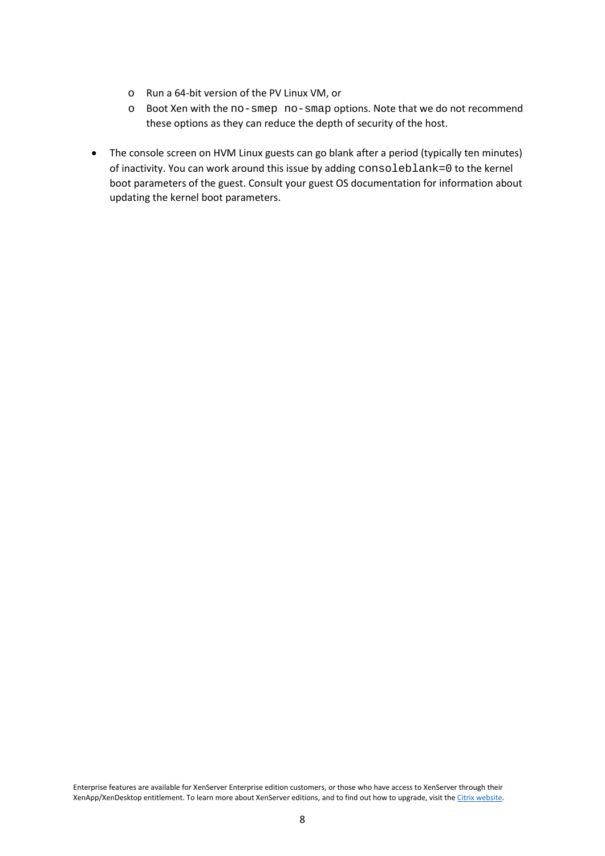- o Run a 64-bit version of the PV Linux VM, or
- these options as they can reduce the depth of security of the host. o Boot Xen with the no-smep no-smap options. Note that we do not recommend
	- The console screen on HVM Linux guests can go blank after a period (typically ten minutes) of inactivity. You can work around this issue by adding consoleblank=0 to the kernel boot parameters of the guest. Consult your guest OS documentation for information about updating the kernel boot parameters.